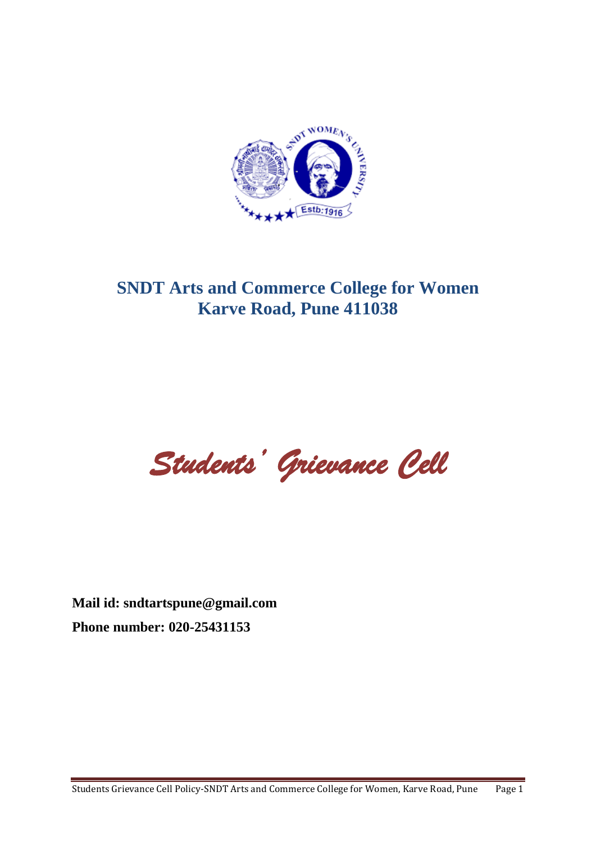

# **SNDT Arts and Commerce College for Women Karve Road, Pune 411038**

*Students' Grievance Cell* 

**Mail id: sndtartspune@gmail.com Phone number: 020-25431153**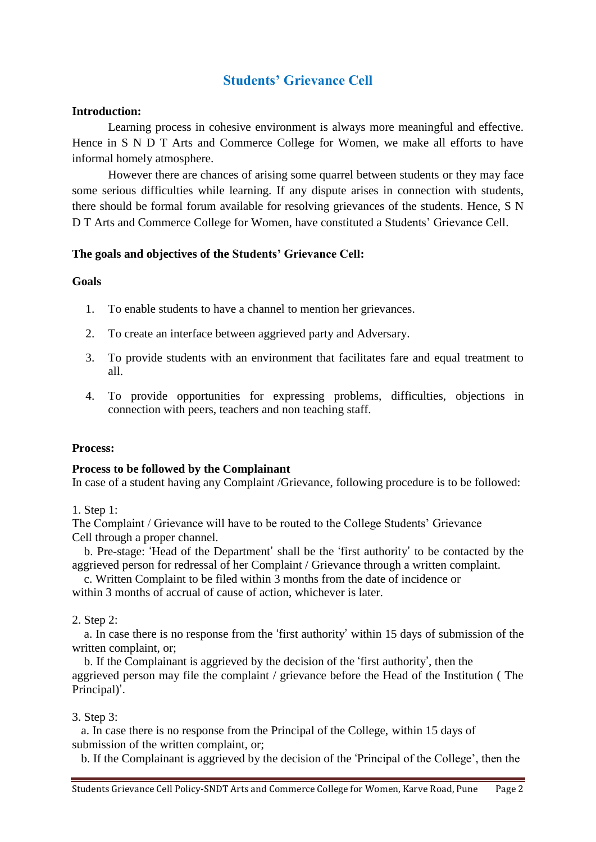## **Students' Grievance Cell**

#### **Introduction:**

Learning process in cohesive environment is always more meaningful and effective. Hence in S N D T Arts and Commerce College for Women, we make all efforts to have informal homely atmosphere.

However there are chances of arising some quarrel between students or they may face some serious difficulties while learning. If any dispute arises in connection with students, there should be formal forum available for resolving grievances of the students. Hence, S N D T Arts and Commerce College for Women, have constituted a Students' Grievance Cell.

## **The goals and objectives of the Students' Grievance Cell:**

#### **Goals**

- 1. To enable students to have a channel to mention her grievances.
- 2. To create an interface between aggrieved party and Adversary.
- 3. To provide students with an environment that facilitates fare and equal treatment to all.
- 4. To provide opportunities for expressing problems, difficulties, objections in connection with peers, teachers and non teaching staff.

## **Process:**

#### **Process to be followed by the Complainant**

In case of a student having any Complaint /Grievance, following procedure is to be followed:

1. Step 1:

The Complaint / Grievance will have to be routed to the College Students' Grievance Cell through a proper channel.

 b. Pre-stage: 'Head of the Department' shall be the 'first authority' to be contacted by the aggrieved person for redressal of her Complaint / Grievance through a written complaint.

 c. Written Complaint to be filed within 3 months from the date of incidence or within 3 months of accrual of cause of action, whichever is later.

2. Step 2:

 a. In case there is no response from the 'first authority' within 15 days of submission of the written complaint, or;

 b. If the Complainant is aggrieved by the decision of the 'first authority', then the aggrieved person may file the complaint / grievance before the Head of the Institution ( The Principal)'.

#### 3. Step 3:

 a. In case there is no response from the Principal of the College, within 15 days of submission of the written complaint, or;

b. If the Complainant is aggrieved by the decision of the 'Principal of the College', then the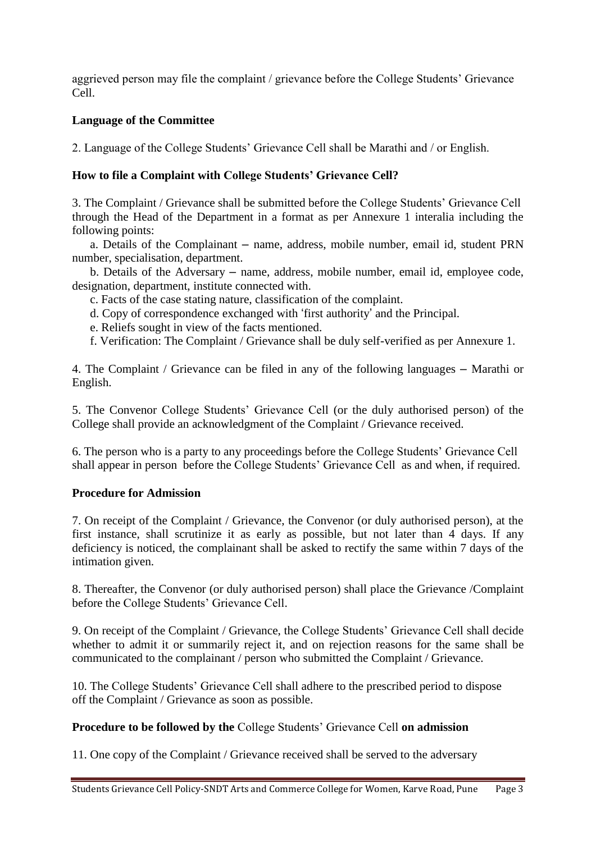aggrieved person may file the complaint / grievance before the College Students' Grievance Cell.

## **Language of the Committee**

2. Language of the College Students' Grievance Cell shall be Marathi and / or English.

## **How to file a Complaint with College Students' Grievance Cell?**

3. The Complaint / Grievance shall be submitted before the College Students' Grievance Cell through the Head of the Department in a format as per Annexure 1 interalia including the following points:

 a. Details of the Complainant – name, address, mobile number, email id, student PRN number, specialisation, department.

 b. Details of the Adversary – name, address, mobile number, email id, employee code, designation, department, institute connected with.

- c. Facts of the case stating nature, classification of the complaint.
- d. Copy of correspondence exchanged with 'first authority' and the Principal.
- e. Reliefs sought in view of the facts mentioned.
- f. Verification: The Complaint / Grievance shall be duly self-verified as per Annexure 1.

4. The Complaint / Grievance can be filed in any of the following languages – Marathi or English.

5. The Convenor College Students' Grievance Cell (or the duly authorised person) of the College shall provide an acknowledgment of the Complaint / Grievance received.

6. The person who is a party to any proceedings before the College Students' Grievance Cell shall appear in person before the College Students' Grievance Cell as and when, if required.

## **Procedure for Admission**

7. On receipt of the Complaint / Grievance, the Convenor (or duly authorised person), at the first instance, shall scrutinize it as early as possible, but not later than 4 days. If any deficiency is noticed, the complainant shall be asked to rectify the same within 7 days of the intimation given.

8. Thereafter, the Convenor (or duly authorised person) shall place the Grievance /Complaint before the College Students' Grievance Cell.

9. On receipt of the Complaint / Grievance, the College Students' Grievance Cell shall decide whether to admit it or summarily reject it, and on rejection reasons for the same shall be communicated to the complainant / person who submitted the Complaint / Grievance.

10. The College Students' Grievance Cell shall adhere to the prescribed period to dispose off the Complaint / Grievance as soon as possible.

## **Procedure to be followed by the** College Students' Grievance Cell **on admission**

11. One copy of the Complaint / Grievance received shall be served to the adversary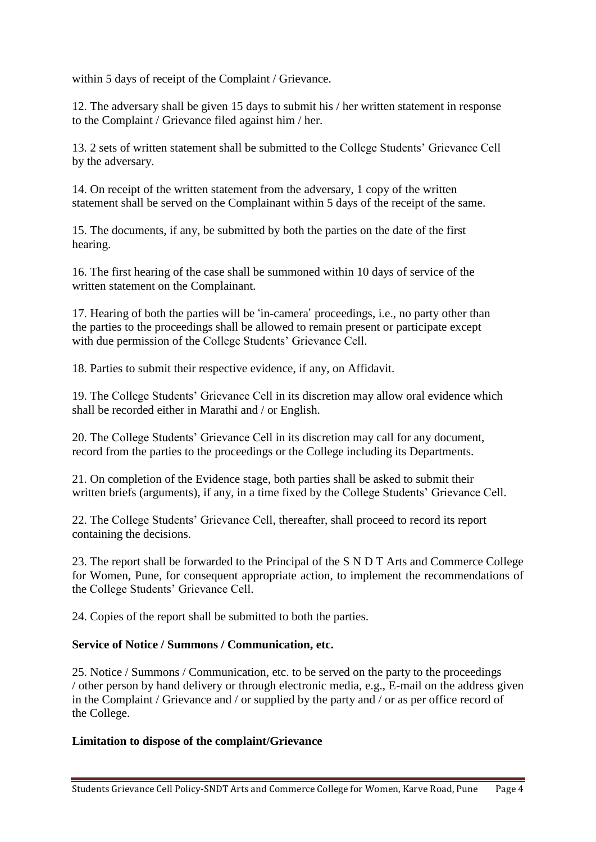within 5 days of receipt of the Complaint / Grievance.

12. The adversary shall be given 15 days to submit his / her written statement in response to the Complaint / Grievance filed against him / her.

13. 2 sets of written statement shall be submitted to the College Students' Grievance Cell by the adversary.

14. On receipt of the written statement from the adversary, 1 copy of the written statement shall be served on the Complainant within 5 days of the receipt of the same.

15. The documents, if any, be submitted by both the parties on the date of the first hearing.

16. The first hearing of the case shall be summoned within 10 days of service of the written statement on the Complainant.

17. Hearing of both the parties will be 'in-camera' proceedings, i.e., no party other than the parties to the proceedings shall be allowed to remain present or participate except with due permission of the College Students' Grievance Cell.

18. Parties to submit their respective evidence, if any, on Affidavit.

19. The College Students' Grievance Cell in its discretion may allow oral evidence which shall be recorded either in Marathi and / or English.

20. The College Students' Grievance Cell in its discretion may call for any document, record from the parties to the proceedings or the College including its Departments.

21. On completion of the Evidence stage, both parties shall be asked to submit their written briefs (arguments), if any, in a time fixed by the College Students' Grievance Cell.

22. The College Students' Grievance Cell, thereafter, shall proceed to record its report containing the decisions.

23. The report shall be forwarded to the Principal of the S N D T Arts and Commerce College for Women, Pune, for consequent appropriate action, to implement the recommendations of the College Students' Grievance Cell.

24. Copies of the report shall be submitted to both the parties.

#### **Service of Notice / Summons / Communication, etc.**

25. Notice / Summons / Communication, etc. to be served on the party to the proceedings / other person by hand delivery or through electronic media, e.g., E-mail on the address given in the Complaint / Grievance and / or supplied by the party and / or as per office record of the College.

#### **Limitation to dispose of the complaint/Grievance**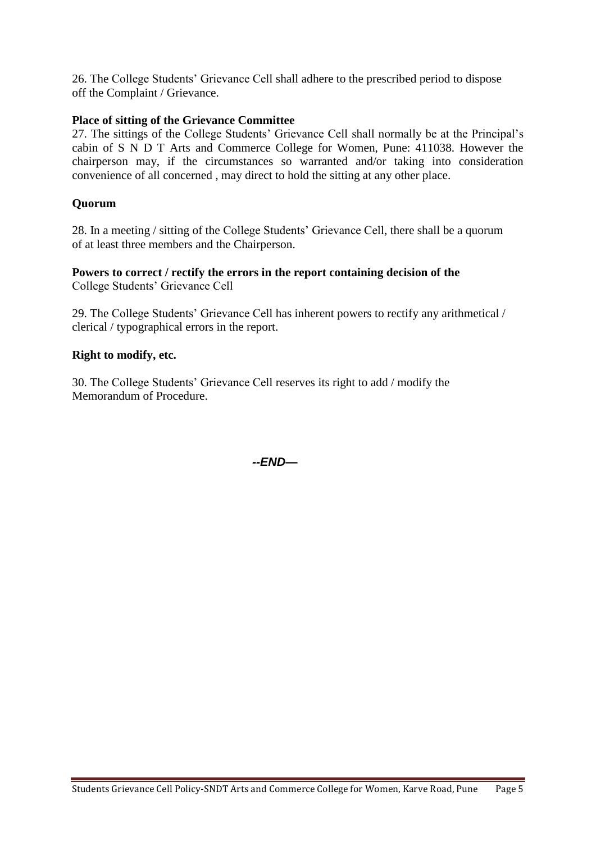26. The College Students' Grievance Cell shall adhere to the prescribed period to dispose off the Complaint / Grievance.

## **Place of sitting of the Grievance Committee**

27. The sittings of the College Students' Grievance Cell shall normally be at the Principal's cabin of S N D T Arts and Commerce College for Women, Pune: 411038. However the chairperson may, if the circumstances so warranted and/or taking into consideration convenience of all concerned , may direct to hold the sitting at any other place.

## **Quorum**

28. In a meeting / sitting of the College Students' Grievance Cell, there shall be a quorum of at least three members and the Chairperson.

#### **Powers to correct / rectify the errors in the report containing decision of the** College Students' Grievance Cell

29. The College Students' Grievance Cell has inherent powers to rectify any arithmetical / clerical / typographical errors in the report.

#### **Right to modify, etc.**

30. The College Students' Grievance Cell reserves its right to add / modify the Memorandum of Procedure.

*--END—*